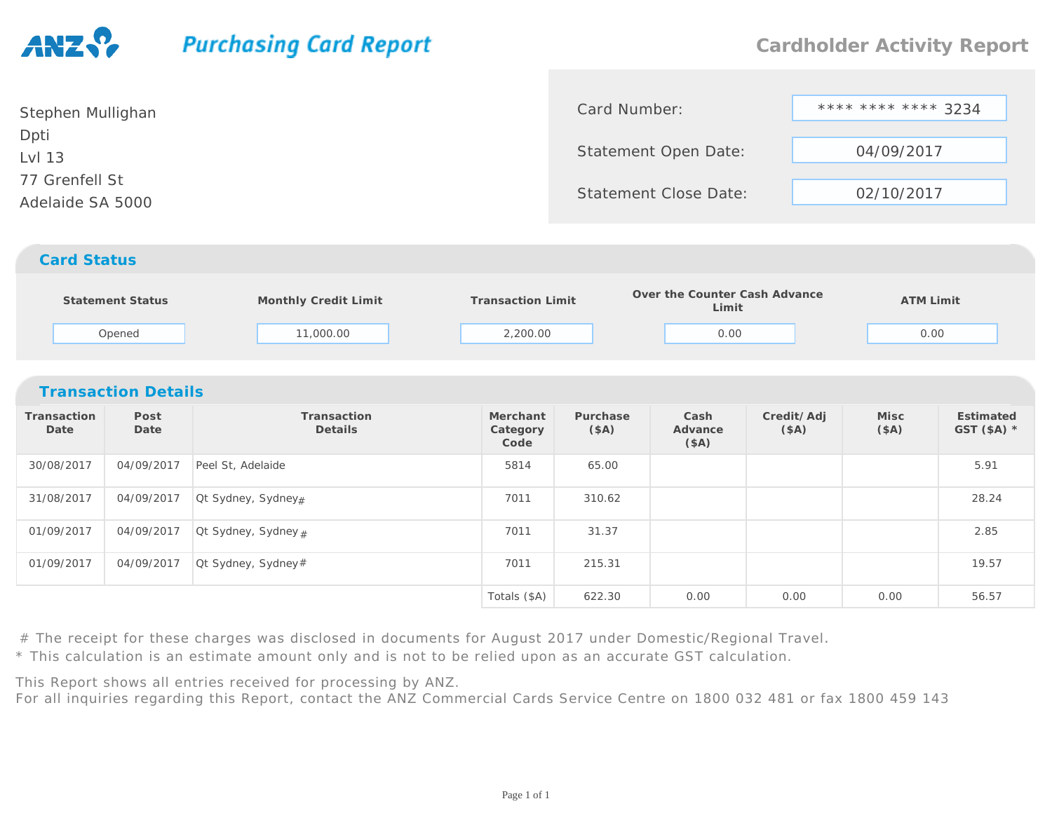## **Purchasing Card Report**

| Stephen Mullighan | Card Number:                 | **** **** **** 3234 |  |  |
|-------------------|------------------------------|---------------------|--|--|
| Dpti              |                              |                     |  |  |
| Lvl 13            | Statement Open Date:         | 04/09/2017          |  |  |
| 77 Grenfell St    |                              |                     |  |  |
| Adelaide SA 5000  | <b>Statement Close Date:</b> | 02/10/2017          |  |  |
|                   |                              |                     |  |  |

## *Card Status*

| Statement Status | Monthly Credit Limit | <b>Transaction Limit</b> | Over the Counter Cash Advance<br>Limit | ATM Limit |  |
|------------------|----------------------|--------------------------|----------------------------------------|-----------|--|
| Opened           | 1,000.00             | 2,200.00                 | 0.00                                   | 0.00      |  |

| <b>Transaction Details</b> |              |                                  |                              |                  |                         |                    |              |                           |  |  |
|----------------------------|--------------|----------------------------------|------------------------------|------------------|-------------------------|--------------------|--------------|---------------------------|--|--|
| Transaction<br>Date        | Post<br>Date | Transaction<br>Details           | Merchant<br>Category<br>Code | Purchase<br>(SA) | Cash<br>Advance<br>(SA) | Credit/Adj<br>(SA) | Misc<br>(SA) | Estimated<br>GST $(SA)$ * |  |  |
| 30/08/2017                 | 04/09/2017   | Peel St, Adelaide                | 5814                         | 65.00            |                         |                    |              | 5.91                      |  |  |
| 31/08/2017                 | 04/09/2017   | Ot Sydney, Sydney#               | 7011                         | 310.62           |                         |                    |              | 28.24                     |  |  |
| 01/09/2017                 | 04/09/2017   | $\alpha$ Ct Sydney, Sydney $\mu$ | 7011                         | 31.37            |                         |                    |              | 2.85                      |  |  |
| 01/09/2017                 | 04/09/2017   | $\alpha$ Sydney, Sydney#         | 7011                         | 215.31           |                         |                    |              | 19.57                     |  |  |
|                            |              |                                  | Totals (\$A)                 | 622.30           | 0.00                    | 0.00               | 0.00         | 56.57                     |  |  |

# The receipt for these charges was disclosed in documents for August 2017 under Domestic/Regional Travel.

\* This calculation is an estimate amount only and is not to be relied upon as an accurate GST calculation.

This Report shows all entries received for processing by ANZ.

For all inquiries regarding this Report, contact the ANZ Commercial Cards Service Centre on 1800 032 481 or fax 1800 459 143